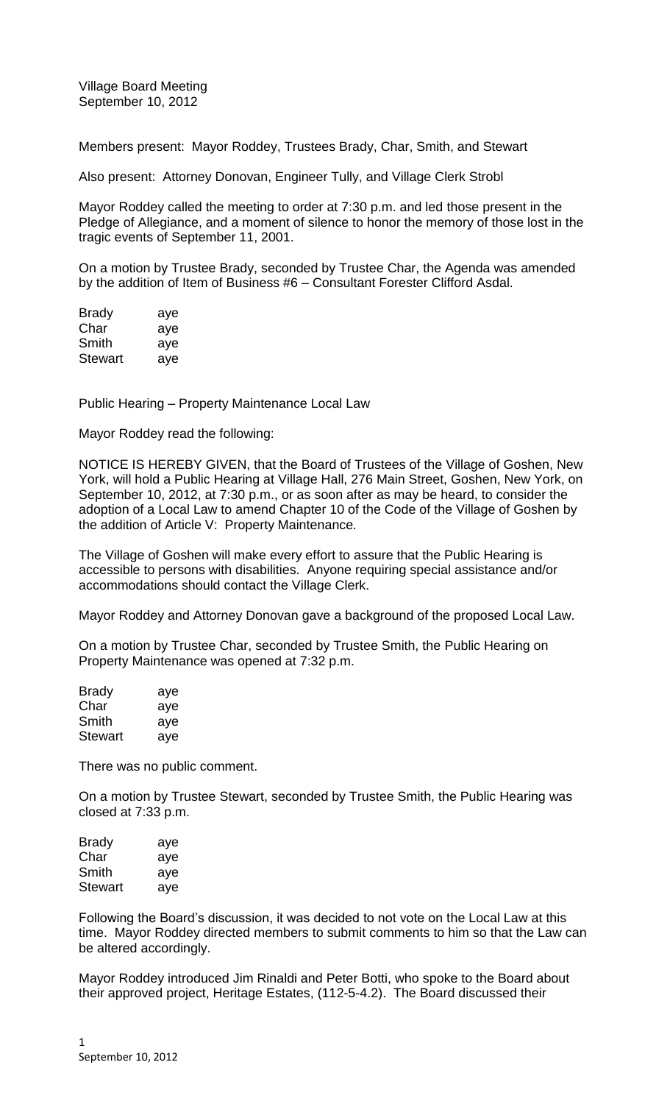Village Board Meeting September 10, 2012

Members present: Mayor Roddey, Trustees Brady, Char, Smith, and Stewart

Also present: Attorney Donovan, Engineer Tully, and Village Clerk Strobl

Mayor Roddey called the meeting to order at 7:30 p.m. and led those present in the Pledge of Allegiance, and a moment of silence to honor the memory of those lost in the tragic events of September 11, 2001.

On a motion by Trustee Brady, seconded by Trustee Char, the Agenda was amended by the addition of Item of Business #6 – Consultant Forester Clifford Asdal.

| <b>Brady</b>   | aye |
|----------------|-----|
| Char           | aye |
| Smith          | aye |
| <b>Stewart</b> | aye |

Public Hearing – Property Maintenance Local Law

Mayor Roddey read the following:

NOTICE IS HEREBY GIVEN, that the Board of Trustees of the Village of Goshen, New York, will hold a Public Hearing at Village Hall, 276 Main Street, Goshen, New York, on September 10, 2012, at 7:30 p.m., or as soon after as may be heard, to consider the adoption of a Local Law to amend Chapter 10 of the Code of the Village of Goshen by the addition of Article V: Property Maintenance*.*

The Village of Goshen will make every effort to assure that the Public Hearing is accessible to persons with disabilities. Anyone requiring special assistance and/or accommodations should contact the Village Clerk.

Mayor Roddey and Attorney Donovan gave a background of the proposed Local Law.

On a motion by Trustee Char, seconded by Trustee Smith, the Public Hearing on Property Maintenance was opened at 7:32 p.m.

| <b>Brady</b>   | aye |
|----------------|-----|
| Char           | aye |
| Smith          | aye |
| <b>Stewart</b> | aye |

There was no public comment.

On a motion by Trustee Stewart, seconded by Trustee Smith, the Public Hearing was closed at 7:33 p.m.

| Brady   | aye |
|---------|-----|
| Char    | aye |
| Smith   | aye |
| Stewart | aye |

Following the Board's discussion, it was decided to not vote on the Local Law at this time. Mayor Roddey directed members to submit comments to him so that the Law can be altered accordingly.

Mayor Roddey introduced Jim Rinaldi and Peter Botti, who spoke to the Board about their approved project, Heritage Estates, (112-5-4.2). The Board discussed their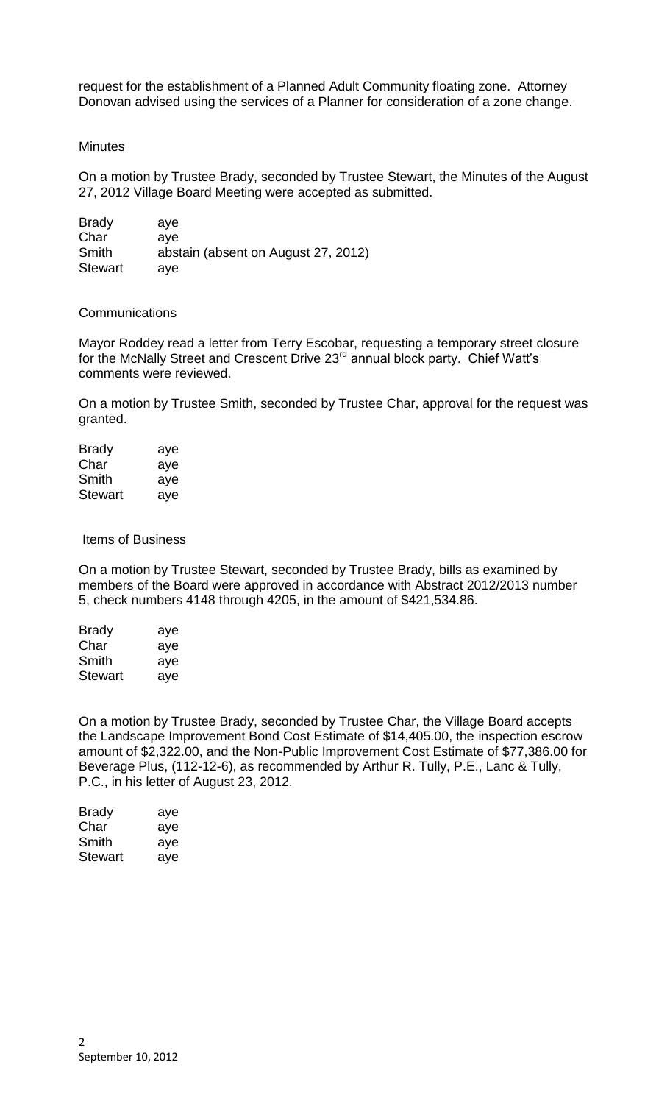request for the establishment of a Planned Adult Community floating zone. Attorney Donovan advised using the services of a Planner for consideration of a zone change.

## **Minutes**

On a motion by Trustee Brady, seconded by Trustee Stewart, the Minutes of the August 27, 2012 Village Board Meeting were accepted as submitted.

| <b>Brady</b>   | ave                                 |
|----------------|-------------------------------------|
| Char           | ave                                 |
| Smith          | abstain (absent on August 27, 2012) |
| <b>Stewart</b> | ave                                 |

## **Communications**

Mayor Roddey read a letter from Terry Escobar, requesting a temporary street closure for the McNally Street and Crescent Drive 23<sup>rd</sup> annual block party. Chief Watt's comments were reviewed.

On a motion by Trustee Smith, seconded by Trustee Char, approval for the request was granted.

| Brady   | aye |
|---------|-----|
| Char    | aye |
| Smith   | aye |
| Stewart | aye |

## Items of Business

On a motion by Trustee Stewart, seconded by Trustee Brady, bills as examined by members of the Board were approved in accordance with Abstract 2012/2013 number 5, check numbers 4148 through 4205, in the amount of \$421,534.86.

| <b>Brady</b>   | aye |
|----------------|-----|
| Char           | aye |
| Smith          | aye |
| <b>Stewart</b> | aye |

On a motion by Trustee Brady, seconded by Trustee Char, the Village Board accepts the Landscape Improvement Bond Cost Estimate of \$14,405.00, the inspection escrow amount of \$2,322.00, and the Non-Public Improvement Cost Estimate of \$77,386.00 for Beverage Plus, (112-12-6), as recommended by Arthur R. Tully, P.E., Lanc & Tully, P.C., in his letter of August 23, 2012.

| Brady   | aye |
|---------|-----|
| Char    | aye |
| Smith   | aye |
| Stewart | aye |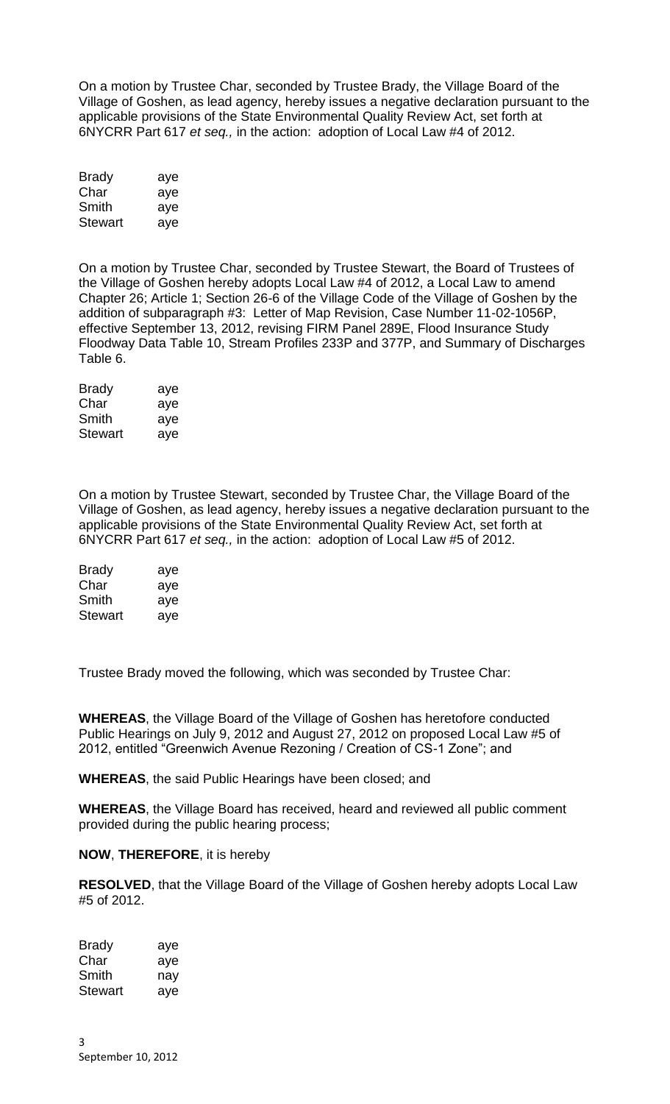On a motion by Trustee Char, seconded by Trustee Brady, the Village Board of the Village of Goshen, as lead agency, hereby issues a negative declaration pursuant to the applicable provisions of the State Environmental Quality Review Act, set forth at 6NYCRR Part 617 *et seq.,* in the action: adoption of Local Law #4 of 2012.

| <b>Brady</b> | aye |
|--------------|-----|
| Char         | aye |
| Smith        | aye |
| Stewart      | aye |

On a motion by Trustee Char, seconded by Trustee Stewart, the Board of Trustees of the Village of Goshen hereby adopts Local Law #4 of 2012, a Local Law to amend Chapter 26; Article 1; Section 26-6 of the Village Code of the Village of Goshen by the addition of subparagraph #3: Letter of Map Revision, Case Number 11-02-1056P, effective September 13, 2012, revising FIRM Panel 289E, Flood Insurance Study Floodway Data Table 10, Stream Profiles 233P and 377P, and Summary of Discharges Table 6.

| <b>Brady</b> | aye |
|--------------|-----|
| Char         | aye |
| Smith        | aye |
| Stewart      | aye |

On a motion by Trustee Stewart, seconded by Trustee Char, the Village Board of the Village of Goshen, as lead agency, hereby issues a negative declaration pursuant to the applicable provisions of the State Environmental Quality Review Act, set forth at 6NYCRR Part 617 *et seq.,* in the action: adoption of Local Law #5 of 2012.

| <b>Brady</b>   | aye |
|----------------|-----|
| Char           | aye |
| Smith          | aye |
| <b>Stewart</b> | aye |

Trustee Brady moved the following, which was seconded by Trustee Char:

**WHEREAS**, the Village Board of the Village of Goshen has heretofore conducted Public Hearings on July 9, 2012 and August 27, 2012 on proposed Local Law #5 of 2012, entitled "Greenwich Avenue Rezoning / Creation of CS-1 Zone"; and

**WHEREAS**, the said Public Hearings have been closed; and

**WHEREAS**, the Village Board has received, heard and reviewed all public comment provided during the public hearing process;

# **NOW**, **THEREFORE**, it is hereby

**RESOLVED**, that the Village Board of the Village of Goshen hereby adopts Local Law #5 of 2012.

| Brady   | aye |
|---------|-----|
| Char    | aye |
| Smith   | nay |
| Stewart | aye |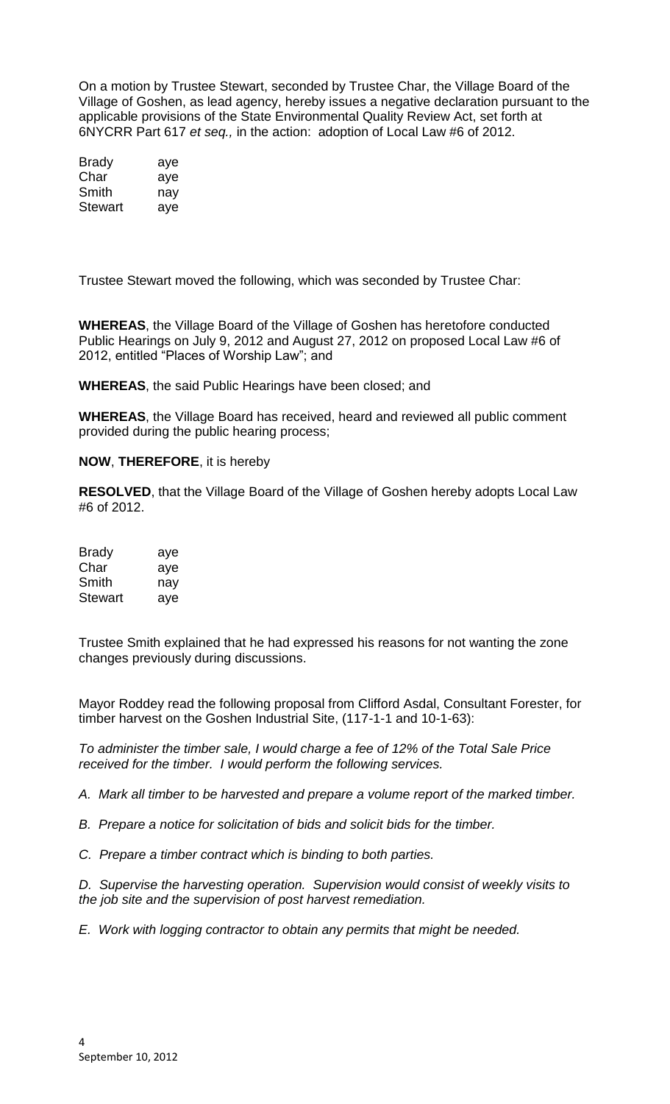On a motion by Trustee Stewart, seconded by Trustee Char, the Village Board of the Village of Goshen, as lead agency, hereby issues a negative declaration pursuant to the applicable provisions of the State Environmental Quality Review Act, set forth at 6NYCRR Part 617 *et seq.,* in the action: adoption of Local Law #6 of 2012.

| Brady   | aye |
|---------|-----|
| Char    | aye |
| Smith   | nav |
| Stewart | aye |

Trustee Stewart moved the following, which was seconded by Trustee Char:

**WHEREAS**, the Village Board of the Village of Goshen has heretofore conducted Public Hearings on July 9, 2012 and August 27, 2012 on proposed Local Law #6 of 2012, entitled "Places of Worship Law"; and

**WHEREAS**, the said Public Hearings have been closed; and

**WHEREAS**, the Village Board has received, heard and reviewed all public comment provided during the public hearing process;

# **NOW**, **THEREFORE**, it is hereby

**RESOLVED**, that the Village Board of the Village of Goshen hereby adopts Local Law #6 of 2012.

| <b>Brady</b>   | aye |
|----------------|-----|
| Char           | aye |
| Smith          | nav |
| <b>Stewart</b> | aye |

Trustee Smith explained that he had expressed his reasons for not wanting the zone changes previously during discussions.

Mayor Roddey read the following proposal from Clifford Asdal, Consultant Forester, for timber harvest on the Goshen Industrial Site, (117-1-1 and 10-1-63):

*To administer the timber sale, I would charge a fee of 12% of the Total Sale Price received for the timber. I would perform the following services.*

*A. Mark all timber to be harvested and prepare a volume report of the marked timber.*

*B. Prepare a notice for solicitation of bids and solicit bids for the timber.*

*C. Prepare a timber contract which is binding to both parties.*

*D. Supervise the harvesting operation. Supervision would consist of weekly visits to the job site and the supervision of post harvest remediation.*

*E. Work with logging contractor to obtain any permits that might be needed.*